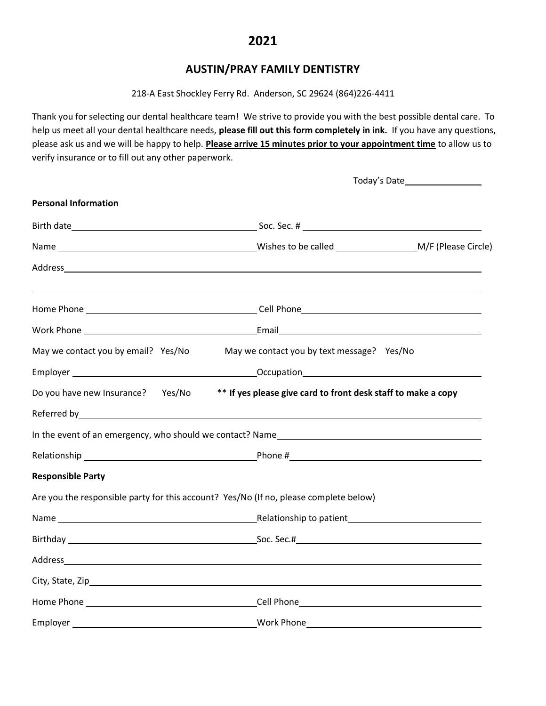## **AUSTIN/PRAY FAMILY DENTISTRY**

218-A East Shockley Ferry Rd. Anderson, SC 29624 (864)226-4411

Thank you for selecting our dental healthcare team! We strive to provide you with the best possible dental care. To help us meet all your dental healthcare needs, **please fill out this form completely in ink.** If you have any questions, please ask us and we will be happy to help. **Please arrive 15 minutes prior to your appointment time** to allow us to verify insurance or to fill out any other paperwork.

|                                                                                                 | Today's Date____________________           |  |  |  |  |  |
|-------------------------------------------------------------------------------------------------|--------------------------------------------|--|--|--|--|--|
| <b>Personal Information</b>                                                                     |                                            |  |  |  |  |  |
|                                                                                                 |                                            |  |  |  |  |  |
|                                                                                                 |                                            |  |  |  |  |  |
|                                                                                                 |                                            |  |  |  |  |  |
|                                                                                                 |                                            |  |  |  |  |  |
|                                                                                                 |                                            |  |  |  |  |  |
| May we contact you by email? Yes/No                                                             | May we contact you by text message? Yes/No |  |  |  |  |  |
|                                                                                                 |                                            |  |  |  |  |  |
| Do you have new Insurance? Yes/No ** If yes please give card to front desk staff to make a copy |                                            |  |  |  |  |  |
|                                                                                                 |                                            |  |  |  |  |  |
|                                                                                                 |                                            |  |  |  |  |  |
|                                                                                                 |                                            |  |  |  |  |  |
| <b>Responsible Party</b>                                                                        |                                            |  |  |  |  |  |
| Are you the responsible party for this account? Yes/No (If no, please complete below)           |                                            |  |  |  |  |  |
|                                                                                                 |                                            |  |  |  |  |  |
|                                                                                                 |                                            |  |  |  |  |  |
|                                                                                                 |                                            |  |  |  |  |  |
|                                                                                                 |                                            |  |  |  |  |  |
|                                                                                                 |                                            |  |  |  |  |  |
|                                                                                                 |                                            |  |  |  |  |  |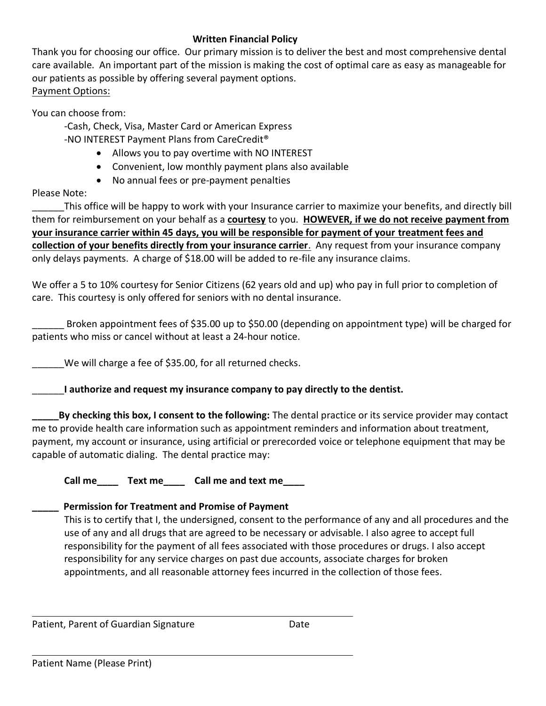## **Written Financial Policy**

Thank you for choosing our office. Our primary mission is to deliver the best and most comprehensive dental care available. An important part of the mission is making the cost of optimal care as easy as manageable for our patients as possible by offering several payment options. Payment Options:

You can choose from:

-Cash, Check, Visa, Master Card or American Express

-NO INTEREST Payment Plans from CareCredit®

- Allows you to pay overtime with NO INTEREST
- Convenient, low monthly payment plans also available
- No annual fees or pre-payment penalties

Please Note:

This office will be happy to work with your Insurance carrier to maximize your benefits, and directly bill them for reimbursement on your behalf as a **courtesy** to you. **HOWEVER, if we do not receive payment from your insurance carrier within 45 days, you will be responsible for payment of your treatment fees and collection of your benefits directly from your insurance carrier**. Any request from your insurance company only delays payments. A charge of \$18.00 will be added to re-file any insurance claims.

We offer a 5 to 10% courtesy for Senior Citizens (62 years old and up) who pay in full prior to completion of care. This courtesy is only offered for seniors with no dental insurance.

Broken appointment fees of \$35.00 up to \$50.00 (depending on appointment type) will be charged for patients who miss or cancel without at least a 24-hour notice.

We will charge a fee of \$35.00, for all returned checks.

\_\_\_\_\_\_**I authorize and request my insurance company to pay directly to the dentist.** 

**\_\_\_\_\_By checking this box, I consent to the following:** The dental practice or its service provider may contact me to provide health care information such as appointment reminders and information about treatment, payment, my account or insurance, using artificial or prerecorded voice or telephone equipment that may be capable of automatic dialing. The dental practice may:

**Call me\_\_\_\_ Text me\_\_\_\_ Call me and text me\_\_\_\_**

## **\_\_\_\_\_ Permission for Treatment and Promise of Payment**

This is to certify that I, the undersigned, consent to the performance of any and all procedures and the use of any and all drugs that are agreed to be necessary or advisable. I also agree to accept full responsibility for the payment of all fees associated with those procedures or drugs. I also accept responsibility for any service charges on past due accounts, associate charges for broken appointments, and all reasonable attorney fees incurred in the collection of those fees.

Patient, Parent of Guardian Signature **Date** Date

 $\overline{\phantom{a}}$ 

 $\overline{\phantom{a}}$